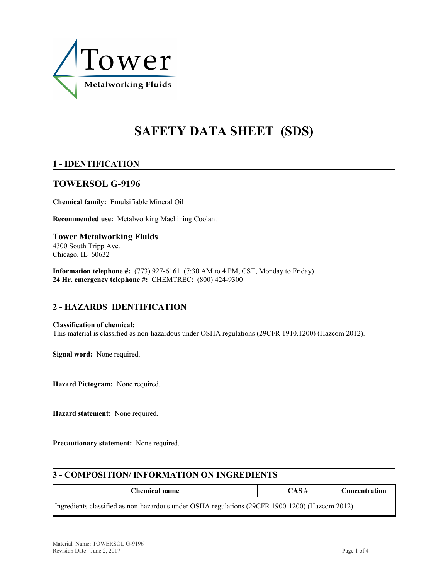

# **SAFETY DATA SHEET (SDS)**

# **1 - IDENTIFICATION**

# **TOWERSOL G-9196**

**Chemical family:** Emulsifiable Mineral Oil

**Recommended use:** Metalworking Machining Coolant

**Tower Metalworking Fluids** 4300 South Tripp Ave. Chicago, IL 60632

**Information telephone #:** (773) 927-6161 (7:30 AM to 4 PM, CST, Monday to Friday) **24 Hr. emergency telephone #:** CHEMTREC: (800) 424-9300

# **2 - HAZARDS IDENTIFICATION**

#### **Classification of chemical:**

This material is classified as non-hazardous under OSHA regulations (29CFR 1910.1200) (Hazcom 2012).

**Signal word:** None required.

**Hazard Pictogram:** None required.

**Hazard statement:** None required.

**Precautionary statement:** None required.

# **3 - COMPOSITION/ INFORMATION ON INGREDIENTS**

| <b>Chemical name</b>                                                                           | CAS# | <b>Concentration</b> |  |  |  |
|------------------------------------------------------------------------------------------------|------|----------------------|--|--|--|
| Ingredients classified as non-hazardous under OSHA regulations (29CFR 1900-1200) (Hazcom 2012) |      |                      |  |  |  |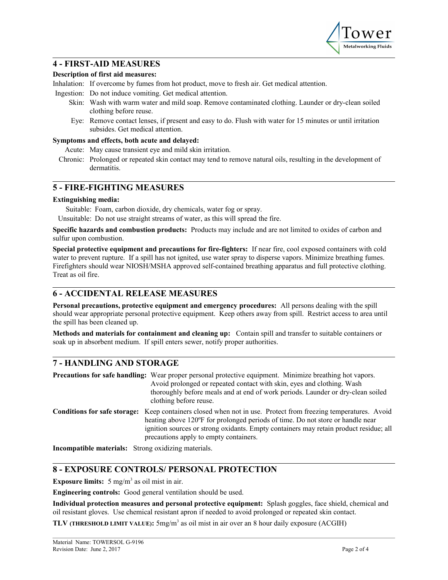

## **4 - FIRST-AID MEASURES**

#### **Description of first aid measures:**

Inhalation: If overcome by fumes from hot product, move to fresh air. Get medical attention.

Ingestion: Do not induce vomiting. Get medical attention.

- Skin: Wash with warm water and mild soap. Remove contaminated clothing. Launder or dry-clean soiled clothing before reuse.
- Eye: Remove contact lenses, if present and easy to do. Flush with water for 15 minutes or until irritation subsides. Get medical attention.

#### **Symptoms and effects, both acute and delayed:**

Acute: May cause transient eye and mild skin irritation.

Chronic: Prolonged or repeated skin contact may tend to remove natural oils, resulting in the development of dermatitis.

## **5 - FIRE-FIGHTING MEASURES**

#### **Extinguishing media:**

Suitable: Foam, carbon dioxide, dry chemicals, water fog or spray.

Unsuitable: Do not use straight streams of water, as this will spread the fire.

**Specific hazards and combustion products:** Products may include and are not limited to oxides of carbon and sulfur upon combustion.

**Special protective equipment and precautions for fire-fighters:** If near fire, cool exposed containers with cold water to prevent rupture. If a spill has not ignited, use water spray to disperse vapors. Minimize breathing fumes. Firefighters should wear NIOSH/MSHA approved self-contained breathing apparatus and full protective clothing. Treat as oil fire.

# **6 - ACCIDENTAL RELEASE MEASURES**

**Personal precautions, protective equipment and emergency procedures:** All persons dealing with the spill should wear appropriate personal protective equipment. Keep others away from spill. Restrict access to area until the spill has been cleaned up.

**Methods and materials for containment and cleaning up:** Contain spill and transfer to suitable containers or soak up in absorbent medium. If spill enters sewer, notify proper authorities.

# **7 - HANDLING AND STORAGE**

**Precautions for safe handling:** Wear proper personal protective equipment. Minimize breathing hot vapors. Avoid prolonged or repeated contact with skin, eyes and clothing. Wash thoroughly before meals and at end of work periods. Launder or dry-clean soiled clothing before reuse. **Conditions for safe storage:** Keep containers closed when not in use. Protect from freezing temperatures. Avoid heating above 120ºF for prolonged periods of time. Do not store or handle near ignition sources or strong oxidants. Empty containers may retain product residue; all precautions apply to empty containers.

**Incompatible materials:** Strong oxidizing materials.

# **8 - EXPOSURE CONTROLS/ PERSONAL PROTECTION**

**Exposure limits:**  $5 \text{ mg/m}^3$  as oil mist in air.

**Engineering controls:** Good general ventilation should be used.

**Individual protection measures and personal protective equipment:** Splash goggles, face shield, chemical and oil resistant gloves. Use chemical resistant apron if needed to avoid prolonged or repeated skin contact.

**TLV (THRESHOLD LIMIT VALUE):** 5mg/m<sup>3</sup> as oil mist in air over an 8 hour daily exposure (ACGIH)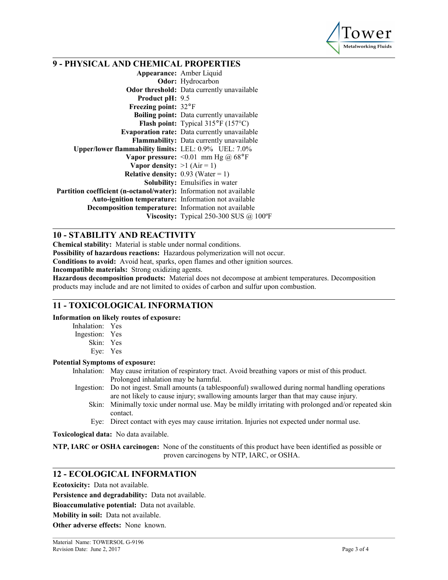

# **9 - PHYSICAL AND CHEMICAL PROPERTIES**

**Appearance:** Amber Liquid **Odor:** Hydrocarbon **Odor threshold:** Data currently unavailable **Product pH:** 9.5 **Freezing point:** 32°F **Boiling point:** Data currently unavailable **Flash point:** Typical 315°F (157°C) **Evaporation rate:** Data currently unavailable **Flammability:** Data currently unavailable **Upper/lower flammability limits:** LEL: 0.9% UEL: 7.0% **Vapor pressure:** <0.01 mm Hg @ 68°F **Vapor density:**  $>1$  (Air = 1) **Relative density:**  $0.93$  (Water = 1) **Solubility:** Emulsifies in water **Partition coefficient (n-octanol/water):** Information not available **Auto-ignition temperature:** Information not available **Decomposition temperature:** Information not available **Viscosity:** Typical 250-300 SUS @ 100°F

## **10 - STABILITY AND REACTIVITY**

**Chemical stability:** Material is stable under normal conditions.

**Possibility of hazardous reactions:** Hazardous polymerization will not occur.

**Conditions to avoid:** Avoid heat, sparks, open flames and other ignition sources.

**Incompatible materials:** Strong oxidizing agents.

**Hazardous decomposition products:** Material does not decompose at ambient temperatures. Decomposition products may include and are not limited to oxides of carbon and sulfur upon combustion.

#### **11 - TOXICOLOGICAL INFORMATION**

**Information on likely routes of exposure:**

| Inhalation:   | Yes          |
|---------------|--------------|
| Ingestion:    | Yes          |
| $\sim$ $\sim$ | $\mathbf{v}$ |

- Skin: Yes
- Eye: Yes

#### **Potential Symptoms of exposure:**

Inhalation: May cause irritation of respiratory tract. Avoid breathing vapors or mist of this product. Prolonged inhalation may be harmful.

- Ingestion: Do not ingest. Small amounts (a tablespoonful) swallowed during normal handling operations are not likely to cause injury; swallowing amounts larger than that may cause injury.
	- Skin: Minimally toxic under normal use. May be mildly irritating with prolonged and/or repeated skin contact.
	- Eye: Direct contact with eyes may cause irritation. Injuries not expected under normal use.

**Toxicological data:** No data available.

**NTP, IARC or OSHA carcinogen:** None of the constituents of this product have been identified as possible or proven carcinogens by NTP, IARC, or OSHA.

## **12 - ECOLOGICAL INFORMATION**

**Ecotoxicity:** Data not available.

**Persistence and degradability:** Data not available.

**Bioaccumulative potential:** Data not available.

**Mobility in soil:** Data not available.

**Other adverse effects:** None known.